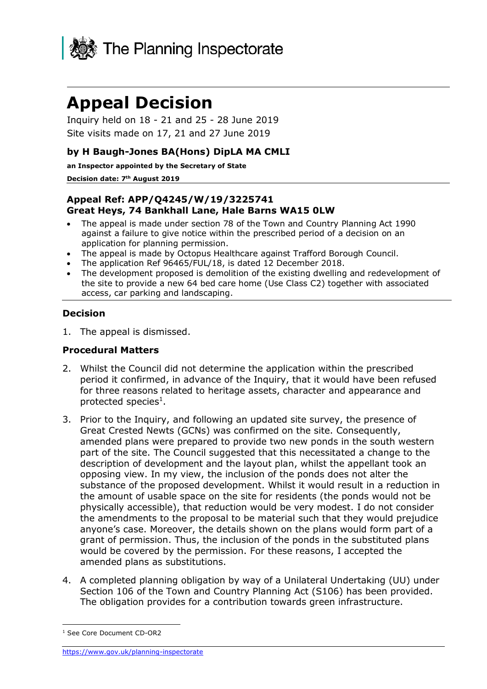

# **Appeal Decision**

Inquiry held on 18 - 21 and 25 - 28 June 2019 Site visits made on 17, 21 and 27 June 2019

### **by H Baugh-Jones BA(Hons) DipLA MA CMLI**

**an Inspector appointed by the Secretary of State** 

#### **Decision date: 7 th August 2019**

#### **Appeal Ref: APP/Q4245/W/19/3225741 Great Heys, 74 Bankhall Lane, Hale Barns WA15 0LW**

- The appeal is made under section 78 of the Town and Country Planning Act 1990 against a failure to give notice within the prescribed period of a decision on an application for planning permission.
- The appeal is made by Octopus Healthcare against Trafford Borough Council.
- The application Ref 96465/FUL/18, is dated 12 December 2018.
- The development proposed is demolition of the existing dwelling and redevelopment of the site to provide a new 64 bed care home (Use Class C2) together with associated access, car parking and landscaping.

#### **Decision**

1. The appeal is dismissed.

#### **Procedural Matters**

- 2. Whilst the Council did not determine the application within the prescribed period it confirmed, in advance of the Inquiry, that it would have been refused for three reasons related to heritage assets, character and appearance and protected species<sup>1</sup>.
- 3. Prior to the Inquiry, and following an updated site survey, the presence of Great Crested Newts (GCNs) was confirmed on the site. Consequently, amended plans were prepared to provide two new ponds in the south western part of the site. The Council suggested that this necessitated a change to the description of development and the layout plan, whilst the appellant took an opposing view. In my view, the inclusion of the ponds does not alter the substance of the proposed development. Whilst it would result in a reduction in the amount of usable space on the site for residents (the ponds would not be physically accessible), that reduction would be very modest. I do not consider the amendments to the proposal to be material such that they would prejudice anyone's case. Moreover, the details shown on the plans would form part of a grant of permission. Thus, the inclusion of the ponds in the substituted plans would be covered by the permission. For these reasons, I accepted the amended plans as substitutions.
- 4. A completed planning obligation by way of a Unilateral Undertaking (UU) under Section 106 of the Town and Country Planning Act (S106) has been provided. The obligation provides for a contribution towards green infrastructure.

-

<sup>&</sup>lt;sup>1</sup> See Core Document CD-OR2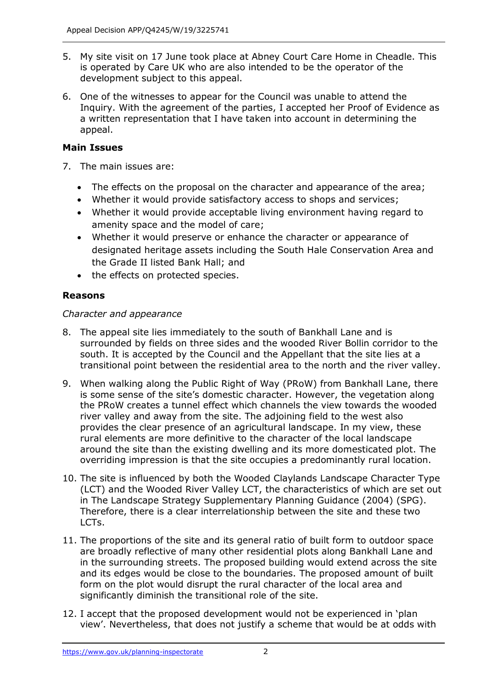- 5. My site visit on 17 June took place at Abney Court Care Home in Cheadle. This is operated by Care UK who are also intended to be the operator of the development subject to this appeal.
- 6. One of the witnesses to appear for the Council was unable to attend the Inquiry. With the agreement of the parties, I accepted her Proof of Evidence as a written representation that I have taken into account in determining the appeal.

# **Main Issues**

- 7. The main issues are:
	- The effects on the proposal on the character and appearance of the area;
	- Whether it would provide satisfactory access to shops and services;
	- Whether it would provide acceptable living environment having regard to amenity space and the model of care;
	- Whether it would preserve or enhance the character or appearance of designated heritage assets including the South Hale Conservation Area and the Grade II listed Bank Hall; and
	- the effects on protected species.

# **Reasons**

# *Character and appearance*

- 8. The appeal site lies immediately to the south of Bankhall Lane and is surrounded by fields on three sides and the wooded River Bollin corridor to the south. It is accepted by the Council and the Appellant that the site lies at a transitional point between the residential area to the north and the river valley.
- 9. When walking along the Public Right of Way (PRoW) from Bankhall Lane, there is some sense of the site's domestic character. However, the vegetation along the PRoW creates a tunnel effect which channels the view towards the wooded river valley and away from the site. The adjoining field to the west also provides the clear presence of an agricultural landscape. In my view, these rural elements are more definitive to the character of the local landscape around the site than the existing dwelling and its more domesticated plot. The overriding impression is that the site occupies a predominantly rural location.
- 10. The site is influenced by both the Wooded Claylands Landscape Character Type (LCT) and the Wooded River Valley LCT, the characteristics of which are set out in The Landscape Strategy Supplementary Planning Guidance (2004) (SPG). Therefore, there is a clear interrelationship between the site and these two LCTs.
- 11. The proportions of the site and its general ratio of built form to outdoor space are broadly reflective of many other residential plots along Bankhall Lane and in the surrounding streets. The proposed building would extend across the site and its edges would be close to the boundaries. The proposed amount of built form on the plot would disrupt the rural character of the local area and significantly diminish the transitional role of the site.
- 12. I accept that the proposed development would not be experienced in 'plan view'. Nevertheless, that does not justify a scheme that would be at odds with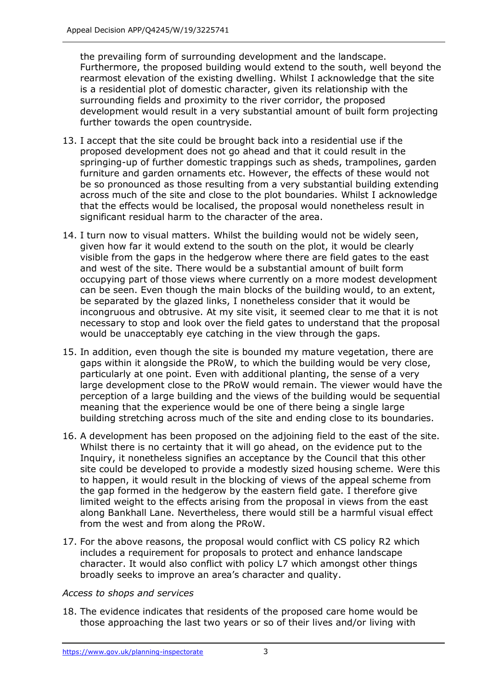the prevailing form of surrounding development and the landscape. Furthermore, the proposed building would extend to the south, well beyond the rearmost elevation of the existing dwelling. Whilst I acknowledge that the site is a residential plot of domestic character, given its relationship with the surrounding fields and proximity to the river corridor, the proposed development would result in a very substantial amount of built form projecting further towards the open countryside.

- 13. I accept that the site could be brought back into a residential use if the proposed development does not go ahead and that it could result in the springing-up of further domestic trappings such as sheds, trampolines, garden furniture and garden ornaments etc. However, the effects of these would not be so pronounced as those resulting from a very substantial building extending across much of the site and close to the plot boundaries. Whilst I acknowledge that the effects would be localised, the proposal would nonetheless result in significant residual harm to the character of the area.
- 14. I turn now to visual matters. Whilst the building would not be widely seen, given how far it would extend to the south on the plot, it would be clearly visible from the gaps in the hedgerow where there are field gates to the east and west of the site. There would be a substantial amount of built form occupying part of those views where currently on a more modest development can be seen. Even though the main blocks of the building would, to an extent, be separated by the glazed links, I nonetheless consider that it would be incongruous and obtrusive. At my site visit, it seemed clear to me that it is not necessary to stop and look over the field gates to understand that the proposal would be unacceptably eye catching in the view through the gaps.
- 15. In addition, even though the site is bounded my mature vegetation, there are gaps within it alongside the PRoW, to which the building would be very close, particularly at one point. Even with additional planting, the sense of a very large development close to the PRoW would remain. The viewer would have the perception of a large building and the views of the building would be sequential meaning that the experience would be one of there being a single large building stretching across much of the site and ending close to its boundaries.
- 16. A development has been proposed on the adjoining field to the east of the site. Whilst there is no certainty that it will go ahead, on the evidence put to the Inquiry, it nonetheless signifies an acceptance by the Council that this other site could be developed to provide a modestly sized housing scheme. Were this to happen, it would result in the blocking of views of the appeal scheme from the gap formed in the hedgerow by the eastern field gate. I therefore give limited weight to the effects arising from the proposal in views from the east along Bankhall Lane. Nevertheless, there would still be a harmful visual effect from the west and from along the PRoW.
- 17. For the above reasons, the proposal would conflict with CS policy R2 which includes a requirement for proposals to protect and enhance landscape character. It would also conflict with policy L7 which amongst other things broadly seeks to improve an area's character and quality.

#### *Access to shops and services*

18. The evidence indicates that residents of the proposed care home would be those approaching the last two years or so of their lives and/or living with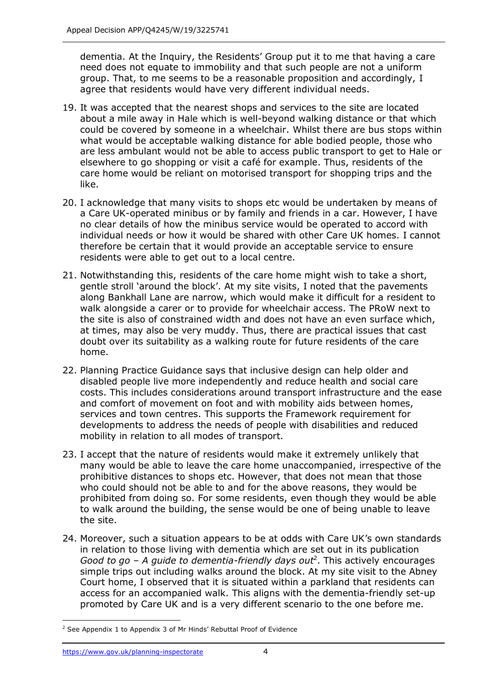dementia. At the Inquiry, the Residents' Group put it to me that having a care need does not equate to immobility and that such people are not a uniform group. That, to me seems to be a reasonable proposition and accordingly, I agree that residents would have very different individual needs.

- 19. It was accepted that the nearest shops and services to the site are located about a mile away in Hale which is well-beyond walking distance or that which could be covered by someone in a wheelchair. Whilst there are bus stops within what would be acceptable walking distance for able bodied people, those who are less ambulant would not be able to access public transport to get to Hale or elsewhere to go shopping or visit a café for example. Thus, residents of the care home would be reliant on motorised transport for shopping trips and the like.
- 20. I acknowledge that many visits to shops etc would be undertaken by means of a Care UK-operated minibus or by family and friends in a car. However, I have no clear details of how the minibus service would be operated to accord with individual needs or how it would be shared with other Care UK homes. I cannot therefore be certain that it would provide an acceptable service to ensure residents were able to get out to a local centre.
- 21. Notwithstanding this, residents of the care home might wish to take a short, gentle stroll 'around the block'. At my site visits, I noted that the pavements along Bankhall Lane are narrow, which would make it difficult for a resident to walk alongside a carer or to provide for wheelchair access. The PRoW next to the site is also of constrained width and does not have an even surface which, at times, may also be very muddy. Thus, there are practical issues that cast doubt over its suitability as a walking route for future residents of the care home.
- 22. Planning Practice Guidance says that inclusive design can help older and disabled people live more independently and reduce health and social care costs. This includes considerations around transport infrastructure and the ease and comfort of movement on foot and with mobility aids between homes, services and town centres. This supports the Framework requirement for developments to address the needs of people with disabilities and reduced mobility in relation to all modes of transport.
- 23. I accept that the nature of residents would make it extremely unlikely that many would be able to leave the care home unaccompanied, irrespective of the prohibitive distances to shops etc. However, that does not mean that those who could should not be able to and for the above reasons, they would be prohibited from doing so. For some residents, even though they would be able to walk around the building, the sense would be one of being unable to leave the site.
- 24. Moreover, such a situation appears to be at odds with Care UK's own standards in relation to those living with dementia which are set out in its publication Good to go – A guide to dementia-friendly days out<sup>2</sup>. This actively encourages simple trips out including walks around the block. At my site visit to the Abney Court home, I observed that it is situated within a parkland that residents can access for an accompanied walk. This aligns with the dementia-friendly set-up promoted by Care UK and is a very different scenario to the one before me.

j <sup>2</sup> See Appendix 1 to Appendix 3 of Mr Hinds' Rebuttal Proof of Evidence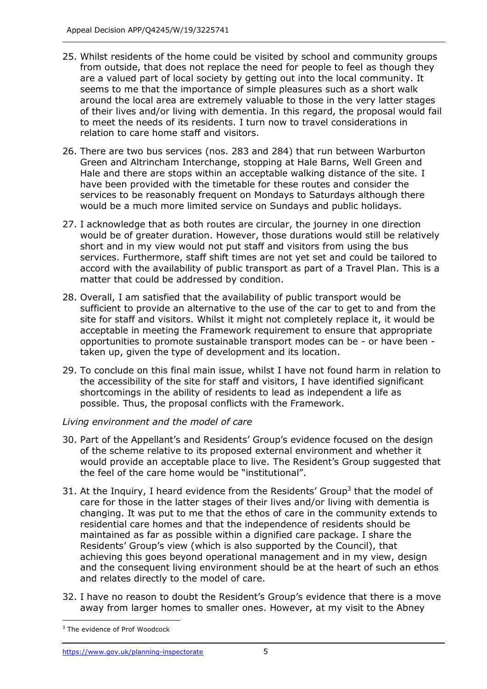- 25. Whilst residents of the home could be visited by school and community groups from outside, that does not replace the need for people to feel as though they are a valued part of local society by getting out into the local community. It seems to me that the importance of simple pleasures such as a short walk around the local area are extremely valuable to those in the very latter stages of their lives and/or living with dementia. In this regard, the proposal would fail to meet the needs of its residents. I turn now to travel considerations in relation to care home staff and visitors.
- 26. There are two bus services (nos. 283 and 284) that run between Warburton Green and Altrincham Interchange, stopping at Hale Barns, Well Green and Hale and there are stops within an acceptable walking distance of the site. I have been provided with the timetable for these routes and consider the services to be reasonably frequent on Mondays to Saturdays although there would be a much more limited service on Sundays and public holidays.
- 27. I acknowledge that as both routes are circular, the journey in one direction would be of greater duration. However, those durations would still be relatively short and in my view would not put staff and visitors from using the bus services. Furthermore, staff shift times are not yet set and could be tailored to accord with the availability of public transport as part of a Travel Plan. This is a matter that could be addressed by condition.
- 28. Overall, I am satisfied that the availability of public transport would be sufficient to provide an alternative to the use of the car to get to and from the site for staff and visitors. Whilst it might not completely replace it, it would be acceptable in meeting the Framework requirement to ensure that appropriate opportunities to promote sustainable transport modes can be - or have been taken up, given the type of development and its location.
- 29. To conclude on this final main issue, whilst I have not found harm in relation to the accessibility of the site for staff and visitors, I have identified significant shortcomings in the ability of residents to lead as independent a life as possible. Thus, the proposal conflicts with the Framework.

#### *Living environment and the model of care*

- 30. Part of the Appellant's and Residents' Group's evidence focused on the design of the scheme relative to its proposed external environment and whether it would provide an acceptable place to live. The Resident's Group suggested that the feel of the care home would be "institutional".
- 31. At the Inquiry, I heard evidence from the Residents' Group<sup>3</sup> that the model of care for those in the latter stages of their lives and/or living with dementia is changing. It was put to me that the ethos of care in the community extends to residential care homes and that the independence of residents should be maintained as far as possible within a dignified care package. I share the Residents' Group's view (which is also supported by the Council), that achieving this goes beyond operational management and in my view, design and the consequent living environment should be at the heart of such an ethos and relates directly to the model of care.
- 32. I have no reason to doubt the Resident's Group's evidence that there is a move away from larger homes to smaller ones. However, at my visit to the Abney

j <sup>3</sup> The evidence of Prof Woodcock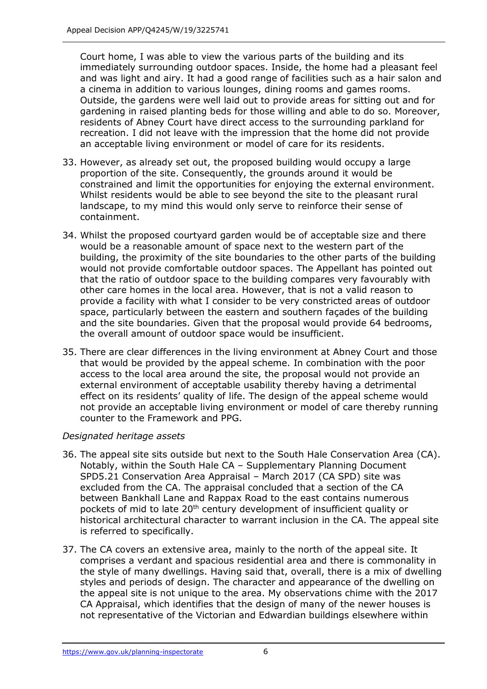Court home, I was able to view the various parts of the building and its immediately surrounding outdoor spaces. Inside, the home had a pleasant feel and was light and airy. It had a good range of facilities such as a hair salon and a cinema in addition to various lounges, dining rooms and games rooms. Outside, the gardens were well laid out to provide areas for sitting out and for gardening in raised planting beds for those willing and able to do so. Moreover, residents of Abney Court have direct access to the surrounding parkland for recreation. I did not leave with the impression that the home did not provide an acceptable living environment or model of care for its residents.

- 33. However, as already set out, the proposed building would occupy a large proportion of the site. Consequently, the grounds around it would be constrained and limit the opportunities for enjoying the external environment. Whilst residents would be able to see beyond the site to the pleasant rural landscape, to my mind this would only serve to reinforce their sense of containment.
- 34. Whilst the proposed courtyard garden would be of acceptable size and there would be a reasonable amount of space next to the western part of the building, the proximity of the site boundaries to the other parts of the building would not provide comfortable outdoor spaces. The Appellant has pointed out that the ratio of outdoor space to the building compares very favourably with other care homes in the local area. However, that is not a valid reason to provide a facility with what I consider to be very constricted areas of outdoor space, particularly between the eastern and southern façades of the building and the site boundaries. Given that the proposal would provide 64 bedrooms, the overall amount of outdoor space would be insufficient.
- 35. There are clear differences in the living environment at Abney Court and those that would be provided by the appeal scheme. In combination with the poor access to the local area around the site, the proposal would not provide an external environment of acceptable usability thereby having a detrimental effect on its residents' quality of life. The design of the appeal scheme would not provide an acceptable living environment or model of care thereby running counter to the Framework and PPG.

# *Designated heritage assets*

- 36. The appeal site sits outside but next to the South Hale Conservation Area (CA). Notably, within the South Hale CA – Supplementary Planning Document SPD5.21 Conservation Area Appraisal – March 2017 (CA SPD) site was excluded from the CA. The appraisal concluded that a section of the CA between Bankhall Lane and Rappax Road to the east contains numerous pockets of mid to late 20<sup>th</sup> century development of insufficient quality or historical architectural character to warrant inclusion in the CA. The appeal site is referred to specifically.
- 37. The CA covers an extensive area, mainly to the north of the appeal site. It comprises a verdant and spacious residential area and there is commonality in the style of many dwellings. Having said that, overall, there is a mix of dwelling styles and periods of design. The character and appearance of the dwelling on the appeal site is not unique to the area. My observations chime with the 2017 CA Appraisal, which identifies that the design of many of the newer houses is not representative of the Victorian and Edwardian buildings elsewhere within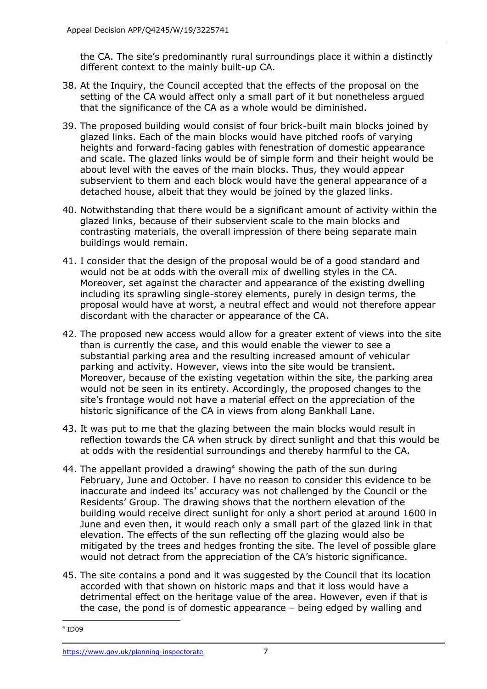the CA. The site's predominantly rural surroundings place it within a distinctly different context to the mainly built-up CA.

- 38. At the Inquiry, the Council accepted that the effects of the proposal on the setting of the CA would affect only a small part of it but nonetheless argued that the significance of the CA as a whole would be diminished.
- 39. The proposed building would consist of four brick-built main blocks joined by glazed links. Each of the main blocks would have pitched roofs of varying heights and forward-facing gables with fenestration of domestic appearance and scale. The glazed links would be of simple form and their height would be about level with the eaves of the main blocks. Thus, they would appear subservient to them and each block would have the general appearance of a detached house, albeit that they would be joined by the glazed links.
- 40. Notwithstanding that there would be a significant amount of activity within the glazed links, because of their subservient scale to the main blocks and contrasting materials, the overall impression of there being separate main buildings would remain.
- 41. I consider that the design of the proposal would be of a good standard and would not be at odds with the overall mix of dwelling styles in the CA. Moreover, set against the character and appearance of the existing dwelling including its sprawling single-storey elements, purely in design terms, the proposal would have at worst, a neutral effect and would not therefore appear discordant with the character or appearance of the CA.
- 42. The proposed new access would allow for a greater extent of views into the site than is currently the case, and this would enable the viewer to see a substantial parking area and the resulting increased amount of vehicular parking and activity. However, views into the site would be transient. Moreover, because of the existing vegetation within the site, the parking area would not be seen in its entirety. Accordingly, the proposed changes to the site's frontage would not have a material effect on the appreciation of the historic significance of the CA in views from along Bankhall Lane.
- 43. It was put to me that the glazing between the main blocks would result in reflection towards the CA when struck by direct sunlight and that this would be at odds with the residential surroundings and thereby harmful to the CA.
- 44. The appellant provided a drawing<sup>4</sup> showing the path of the sun during February, June and October. I have no reason to consider this evidence to be inaccurate and indeed its' accuracy was not challenged by the Council or the Residents' Group. The drawing shows that the northern elevation of the building would receive direct sunlight for only a short period at around 1600 in June and even then, it would reach only a small part of the glazed link in that elevation. The effects of the sun reflecting off the glazing would also be mitigated by the trees and hedges fronting the site. The level of possible glare would not detract from the appreciation of the CA's historic significance.
- 45. The site contains a pond and it was suggested by the Council that its location accorded with that shown on historic maps and that it loss would have a detrimental effect on the heritage value of the area. However, even if that is the case, the pond is of domestic appearance – being edged by walling and

 4 ID09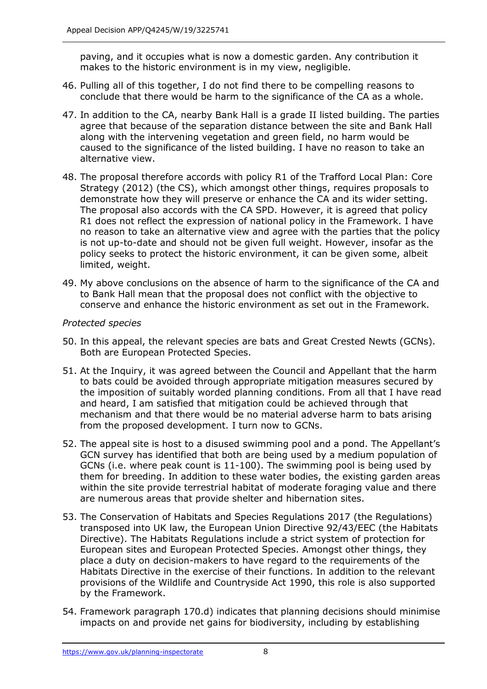paving, and it occupies what is now a domestic garden. Any contribution it makes to the historic environment is in my view, negligible.

- 46. Pulling all of this together, I do not find there to be compelling reasons to conclude that there would be harm to the significance of the CA as a whole.
- 47. In addition to the CA, nearby Bank Hall is a grade II listed building. The parties agree that because of the separation distance between the site and Bank Hall along with the intervening vegetation and green field, no harm would be caused to the significance of the listed building. I have no reason to take an alternative view.
- 48. The proposal therefore accords with policy R1 of the Trafford Local Plan: Core Strategy (2012) (the CS), which amongst other things, requires proposals to demonstrate how they will preserve or enhance the CA and its wider setting. The proposal also accords with the CA SPD. However, it is agreed that policy R1 does not reflect the expression of national policy in the Framework. I have no reason to take an alternative view and agree with the parties that the policy is not up-to-date and should not be given full weight. However, insofar as the policy seeks to protect the historic environment, it can be given some, albeit limited, weight.
- 49. My above conclusions on the absence of harm to the significance of the CA and to Bank Hall mean that the proposal does not conflict with the objective to conserve and enhance the historic environment as set out in the Framework.

#### *Protected species*

- 50. In this appeal, the relevant species are bats and Great Crested Newts (GCNs). Both are European Protected Species.
- 51. At the Inquiry, it was agreed between the Council and Appellant that the harm to bats could be avoided through appropriate mitigation measures secured by the imposition of suitably worded planning conditions. From all that I have read and heard, I am satisfied that mitigation could be achieved through that mechanism and that there would be no material adverse harm to bats arising from the proposed development. I turn now to GCNs.
- 52. The appeal site is host to a disused swimming pool and a pond. The Appellant's GCN survey has identified that both are being used by a medium population of GCNs (i.e. where peak count is 11-100). The swimming pool is being used by them for breeding. In addition to these water bodies, the existing garden areas within the site provide terrestrial habitat of moderate foraging value and there are numerous areas that provide shelter and hibernation sites.
- 53. The Conservation of Habitats and Species Regulations 2017 (the Regulations) transposed into UK law, the European Union Directive 92/43/EEC (the Habitats Directive). The Habitats Regulations include a strict system of protection for European sites and European Protected Species. Amongst other things, they place a duty on decision-makers to have regard to the requirements of the Habitats Directive in the exercise of their functions. In addition to the relevant provisions of the Wildlife and Countryside Act 1990, this role is also supported by the Framework.
- 54. Framework paragraph 170.d) indicates that planning decisions should minimise impacts on and provide net gains for biodiversity, including by establishing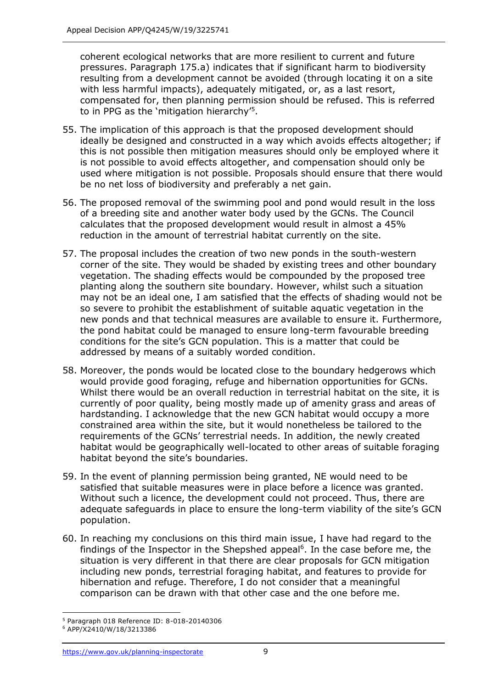coherent ecological networks that are more resilient to current and future pressures. Paragraph 175.a) indicates that if significant harm to biodiversity resulting from a development cannot be avoided (through locating it on a site with less harmful impacts), adequately mitigated, or, as a last resort, compensated for, then planning permission should be refused. This is referred to in PPG as the 'mitigation hierarchy'<sup>5</sup> .

- 55. The implication of this approach is that the proposed development should ideally be designed and constructed in a way which avoids effects altogether; if this is not possible then mitigation measures should only be employed where it is not possible to avoid effects altogether, and compensation should only be used where mitigation is not possible. Proposals should ensure that there would be no net loss of biodiversity and preferably a net gain.
- 56. The proposed removal of the swimming pool and pond would result in the loss of a breeding site and another water body used by the GCNs. The Council calculates that the proposed development would result in almost a 45% reduction in the amount of terrestrial habitat currently on the site.
- 57. The proposal includes the creation of two new ponds in the south-western corner of the site. They would be shaded by existing trees and other boundary vegetation. The shading effects would be compounded by the proposed tree planting along the southern site boundary. However, whilst such a situation may not be an ideal one, I am satisfied that the effects of shading would not be so severe to prohibit the establishment of suitable aquatic vegetation in the new ponds and that technical measures are available to ensure it. Furthermore, the pond habitat could be managed to ensure long-term favourable breeding conditions for the site's GCN population. This is a matter that could be addressed by means of a suitably worded condition.
- 58. Moreover, the ponds would be located close to the boundary hedgerows which would provide good foraging, refuge and hibernation opportunities for GCNs. Whilst there would be an overall reduction in terrestrial habitat on the site, it is currently of poor quality, being mostly made up of amenity grass and areas of hardstanding. I acknowledge that the new GCN habitat would occupy a more constrained area within the site, but it would nonetheless be tailored to the requirements of the GCNs' terrestrial needs. In addition, the newly created habitat would be geographically well-located to other areas of suitable foraging habitat beyond the site's boundaries.
- 59. In the event of planning permission being granted, NE would need to be satisfied that suitable measures were in place before a licence was granted. Without such a licence, the development could not proceed. Thus, there are adequate safeguards in place to ensure the long-term viability of the site's GCN population.
- 60. In reaching my conclusions on this third main issue, I have had regard to the findings of the Inspector in the Shepshed appeal<sup>6</sup>. In the case before me, the situation is very different in that there are clear proposals for GCN mitigation including new ponds, terrestrial foraging habitat, and features to provide for hibernation and refuge. Therefore, I do not consider that a meaningful comparison can be drawn with that other case and the one before me.

<sup>-</sup><sup>5</sup> Paragraph 018 Reference ID: 8-018-20140306

<sup>6</sup> APP/X2410/W/18/3213386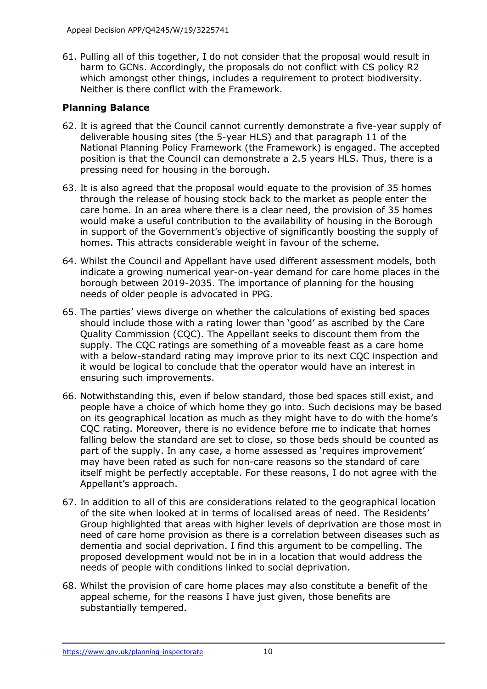61. Pulling all of this together, I do not consider that the proposal would result in harm to GCNs. Accordingly, the proposals do not conflict with CS policy R2 which amongst other things, includes a requirement to protect biodiversity. Neither is there conflict with the Framework.

# **Planning Balance**

- 62. It is agreed that the Council cannot currently demonstrate a five-year supply of deliverable housing sites (the 5-year HLS) and that paragraph 11 of the National Planning Policy Framework (the Framework) is engaged. The accepted position is that the Council can demonstrate a 2.5 years HLS. Thus, there is a pressing need for housing in the borough.
- 63. It is also agreed that the proposal would equate to the provision of 35 homes through the release of housing stock back to the market as people enter the care home. In an area where there is a clear need, the provision of 35 homes would make a useful contribution to the availability of housing in the Borough in support of the Government's objective of significantly boosting the supply of homes. This attracts considerable weight in favour of the scheme.
- 64. Whilst the Council and Appellant have used different assessment models, both indicate a growing numerical year-on-year demand for care home places in the borough between 2019-2035. The importance of planning for the housing needs of older people is advocated in PPG.
- 65. The parties' views diverge on whether the calculations of existing bed spaces should include those with a rating lower than 'good' as ascribed by the Care Quality Commission (CQC). The Appellant seeks to discount them from the supply. The CQC ratings are something of a moveable feast as a care home with a below-standard rating may improve prior to its next CQC inspection and it would be logical to conclude that the operator would have an interest in ensuring such improvements.
- 66. Notwithstanding this, even if below standard, those bed spaces still exist, and people have a choice of which home they go into. Such decisions may be based on its geographical location as much as they might have to do with the home's CQC rating. Moreover, there is no evidence before me to indicate that homes falling below the standard are set to close, so those beds should be counted as part of the supply. In any case, a home assessed as 'requires improvement' may have been rated as such for non-care reasons so the standard of care itself might be perfectly acceptable. For these reasons, I do not agree with the Appellant's approach.
- 67. In addition to all of this are considerations related to the geographical location of the site when looked at in terms of localised areas of need. The Residents' Group highlighted that areas with higher levels of deprivation are those most in need of care home provision as there is a correlation between diseases such as dementia and social deprivation. I find this argument to be compelling. The proposed development would not be in in a location that would address the needs of people with conditions linked to social deprivation.
- 68. Whilst the provision of care home places may also constitute a benefit of the appeal scheme, for the reasons I have just given, those benefits are substantially tempered.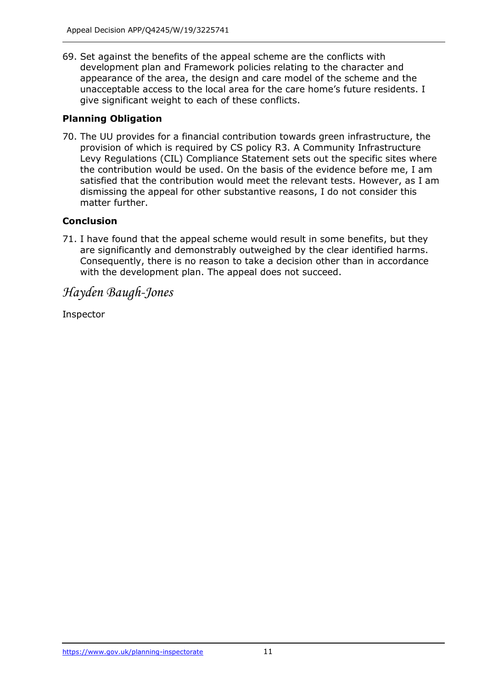69. Set against the benefits of the appeal scheme are the conflicts with development plan and Framework policies relating to the character and appearance of the area, the design and care model of the scheme and the unacceptable access to the local area for the care home's future residents. I give significant weight to each of these conflicts.

# **Planning Obligation**

70. The UU provides for a financial contribution towards green infrastructure, the provision of which is required by CS policy R3. A Community Infrastructure Levy Regulations (CIL) Compliance Statement sets out the specific sites where the contribution would be used. On the basis of the evidence before me, I am satisfied that the contribution would meet the relevant tests. However, as I am dismissing the appeal for other substantive reasons, I do not consider this matter further.

# **Conclusion**

71. I have found that the appeal scheme would result in some benefits, but they are significantly and demonstrably outweighed by the clear identified harms. Consequently, there is no reason to take a decision other than in accordance with the development plan. The appeal does not succeed.

# *Hayden Baugh-Jones*

Inspector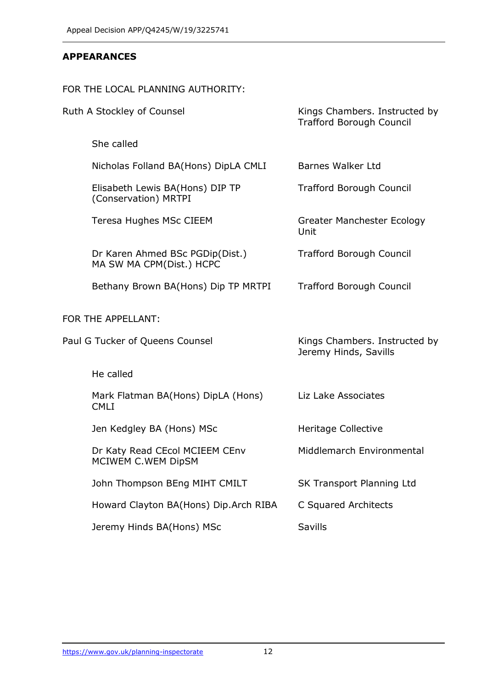### **APPEARANCES**

# FOR THE LOCAL PLANNING AUTHORITY:

| Ruth A Stockley of Counsel      |                                                             | Kings Chambers. Instructed by<br><b>Trafford Borough Council</b> |
|---------------------------------|-------------------------------------------------------------|------------------------------------------------------------------|
|                                 | She called                                                  |                                                                  |
|                                 | Nicholas Folland BA(Hons) DipLA CMLI                        | <b>Barnes Walker Ltd</b>                                         |
|                                 | Elisabeth Lewis BA(Hons) DIP TP<br>(Conservation) MRTPI     | <b>Trafford Borough Council</b>                                  |
|                                 | Teresa Hughes MSc CIEEM                                     | Greater Manchester Ecology<br>Unit                               |
|                                 | Dr Karen Ahmed BSc PGDip(Dist.)<br>MA SW MA CPM(Dist.) HCPC | <b>Trafford Borough Council</b>                                  |
|                                 | Bethany Brown BA(Hons) Dip TP MRTPI                         | <b>Trafford Borough Council</b>                                  |
| FOR THE APPELLANT:              |                                                             |                                                                  |
| Paul G Tucker of Queens Counsel |                                                             | Kings Chambers. Instructed by<br>Jeremy Hinds, Savills           |
|                                 | He called                                                   |                                                                  |
|                                 | Mark Flatman BA(Hons) DipLA (Hons)<br><b>CMLI</b>           | Liz Lake Associates                                              |
|                                 | Jen Kedgley BA (Hons) MSc                                   | Heritage Collective                                              |
|                                 | Dr Katy Read CEcol MCIEEM CEnv<br>MCIWEM C.WEM DipSM        | Middlemarch Environmental                                        |
|                                 | John Thompson BEng MIHT CMILT                               | SK Transport Planning Ltd                                        |
|                                 | Howard Clayton BA(Hons) Dip.Arch RIBA                       | C Squared Architects                                             |
|                                 | Jeremy Hinds BA(Hons) MSc                                   | Savills                                                          |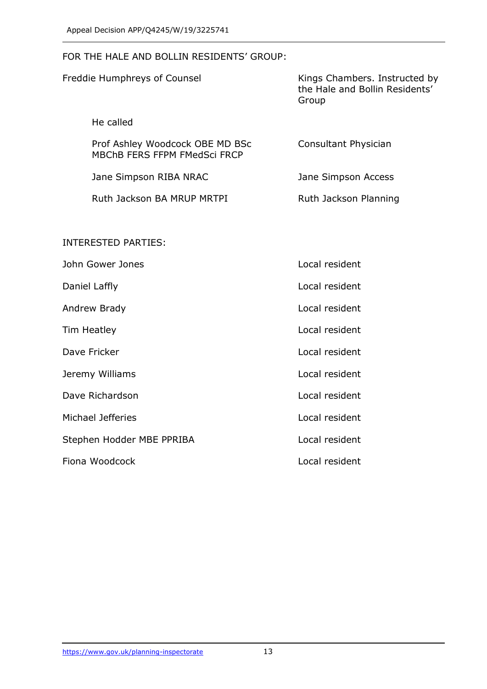#### FOR THE HALE AND BOLLIN RESIDENTS' GROUP:

| Freddie Humphreys of Counsel                                    | Kings Chambers. Instructed by<br>the Hale and Bollin Residents'<br>Group |
|-----------------------------------------------------------------|--------------------------------------------------------------------------|
| He called                                                       |                                                                          |
| Prof Ashley Woodcock OBE MD BSc<br>MBChB FERS FFPM FMedSci FRCP | Consultant Physician                                                     |
| Jane Simpson RIBA NRAC                                          | Jane Simpson Access                                                      |
| Ruth Jackson BA MRUP MRTPI                                      | Ruth Jackson Planning                                                    |
| <b>INTERESTED PARTIES:</b>                                      |                                                                          |
| John Gower Jones                                                | Local resident                                                           |
| Daniel Laffly                                                   | Local resident                                                           |
| Andrew Brady                                                    | Local resident                                                           |
| <b>Tim Heatley</b>                                              | Local resident                                                           |
| Dave Fricker                                                    | Local resident                                                           |
| Jeremy Williams                                                 | Local resident                                                           |
| Dave Richardson                                                 | Local resident                                                           |
| Michael Jefferies                                               | Local resident                                                           |
| Stephen Hodder MBE PPRIBA                                       | Local resident                                                           |
| Fiona Woodcock                                                  | Local resident                                                           |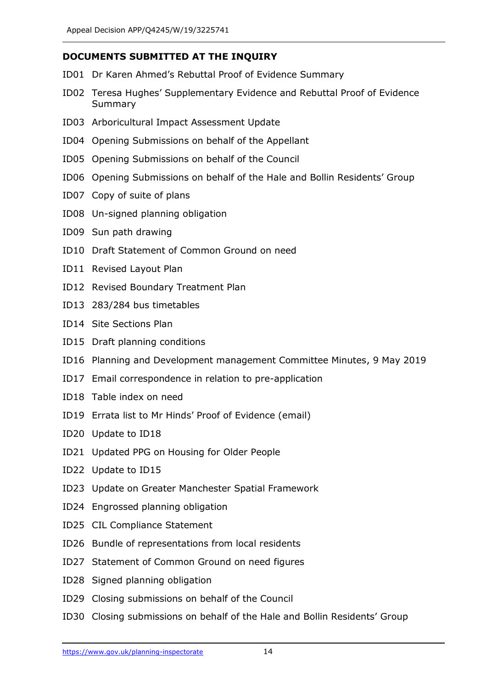# **DOCUMENTS SUBMITTED AT THE INQUIRY**

- ID01 Dr Karen Ahmed's Rebuttal Proof of Evidence Summary
- ID02 Teresa Hughes' Supplementary Evidence and Rebuttal Proof of Evidence Summary
- ID03 Arboricultural Impact Assessment Update
- ID04 Opening Submissions on behalf of the Appellant
- ID05 Opening Submissions on behalf of the Council
- ID06 Opening Submissions on behalf of the Hale and Bollin Residents' Group
- ID07 Copy of suite of plans
- ID08 Un-signed planning obligation
- ID09 Sun path drawing
- ID10 Draft Statement of Common Ground on need
- ID11 Revised Layout Plan
- ID12 Revised Boundary Treatment Plan
- ID13 283/284 bus timetables
- ID14 Site Sections Plan
- ID15 Draft planning conditions
- ID16 Planning and Development management Committee Minutes, 9 May 2019
- ID17 Email correspondence in relation to pre-application
- ID18 Table index on need
- ID19 Errata list to Mr Hinds' Proof of Evidence (email)
- ID20 Update to ID18
- ID21 Updated PPG on Housing for Older People
- ID22 Update to ID15
- ID23 Update on Greater Manchester Spatial Framework
- ID24 Engrossed planning obligation
- ID25 CIL Compliance Statement
- ID26 Bundle of representations from local residents
- ID27 Statement of Common Ground on need figures
- ID28 Signed planning obligation
- ID29 Closing submissions on behalf of the Council
- ID30 Closing submissions on behalf of the Hale and Bollin Residents' Group